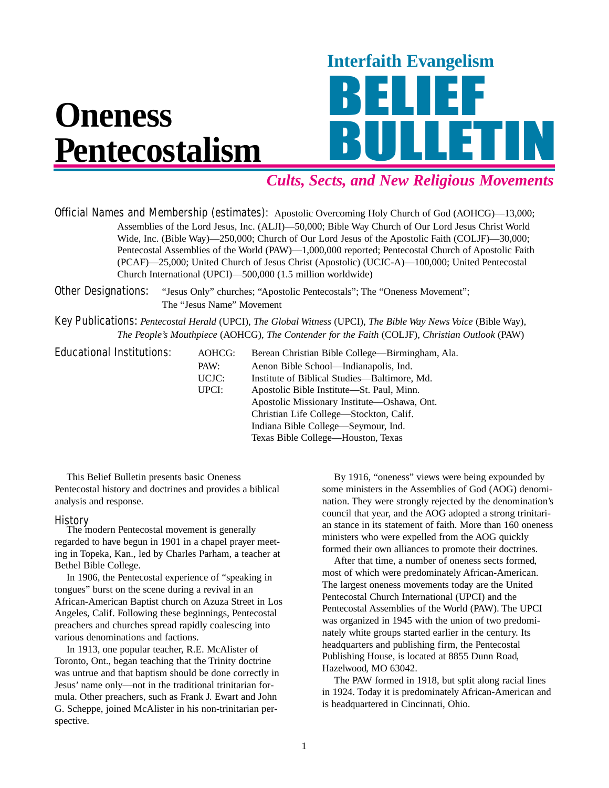

# *Cults, Sects, and New Religious Movements*

Official Names and Membership (estimates): Apostolic Overcoming Holy Church of God (AOHCG)—13,000; Assemblies of the Lord Jesus, Inc. (ALJI)—50,000; Bible Way Church of Our Lord Jesus Christ World Wide, Inc. (Bible Way)—250,000; Church of Our Lord Jesus of the Apostolic Faith (COLJF)—30,000; Pentecostal Assemblies of the World (PAW)—1,000,000 reported; Pentecostal Church of Apostolic Faith (PCAF)—25,000; United Church of Jesus Christ (Apostolic) (UCJC-A)—100,000; United Pentecostal Church International (UPCI)—500,000 (1.5 million worldwide)

**Other Designations:** "Jesus Only" churches; "Apostolic Pentecostals"; The "Oneness Movement"; The "Jesus Name" Movement

Key Publications: *Pentecostal Herald* (UPCI), *The Global Witness* (UPCI), *The Bible Way News Voice* (Bible Way), *The People's Mouthpiece* (AOHCG), *The Contender for the Faith* (COLJF), *Christian Outlook* (PAW)

| <b>Educational Institutions:</b> | AOHCG: | Berean Christian Bible College—Birmingham, Ala. |
|----------------------------------|--------|-------------------------------------------------|
|                                  | PAW:   | Aenon Bible School—Indianapolis, Ind.           |
|                                  | UCJC:  | Institute of Biblical Studies—Baltimore, Md.    |
|                                  | UPCI:  | Apostolic Bible Institute—St. Paul, Minn.       |
|                                  |        | Apostolic Missionary Institute—Oshawa, Ont.     |
|                                  |        | Christian Life College-Stockton, Calif.         |
|                                  |        | Indiana Bible College—Seymour, Ind.             |
|                                  |        | Texas Bible College—Houston, Texas              |

This Belief Bulletin presents basic Oneness Pentecostal history and doctrines and provides a biblical analysis and response.

**History**<br>The modern Pentecostal movement is generally regarded to have begun in 1901 in a chapel prayer meeting in Topeka, Kan., led by Charles Parham, a teacher at Bethel Bible College.

In 1906, the Pentecostal experience of "speaking in tongues" burst on the scene during a revival in an African-American Baptist church on Azuza Street in Los Angeles, Calif. Following these beginnings, Pentecostal preachers and churches spread rapidly coalescing into various denominations and factions.

In 1913, one popular teacher, R.E. McAlister of Toronto, Ont., began teaching that the Trinity doctrine was untrue and that baptism should be done correctly in Jesus' name only—not in the traditional trinitarian formula. Other preachers, such as Frank J. Ewart and John G. Scheppe, joined McAlister in his non-trinitarian perspective.

By 1916, "oneness" views were being expounded by some ministers in the Assemblies of God (AOG) denomination. They were strongly rejected by the denomination's council that year, and the AOG adopted a strong trinitarian stance in its statement of faith. More than 160 oneness ministers who were expelled from the AOG quickly formed their own alliances to promote their doctrines.

After that time, a number of oneness sects formed, most of which were predominately African-American. The largest oneness movements today are the United Pentecostal Church International (UPCI) and the Pentecostal Assemblies of the World (PAW). The UPCI was organized in 1945 with the union of two predominately white groups started earlier in the century. Its headquarters and publishing firm, the Pentecostal Publishing House, is located at 8855 Dunn Road, Hazelwood, MO 63042.

The PAW formed in 1918, but split along racial lines in 1924. Today it is predominately African-American and is headquartered in Cincinnati, Ohio.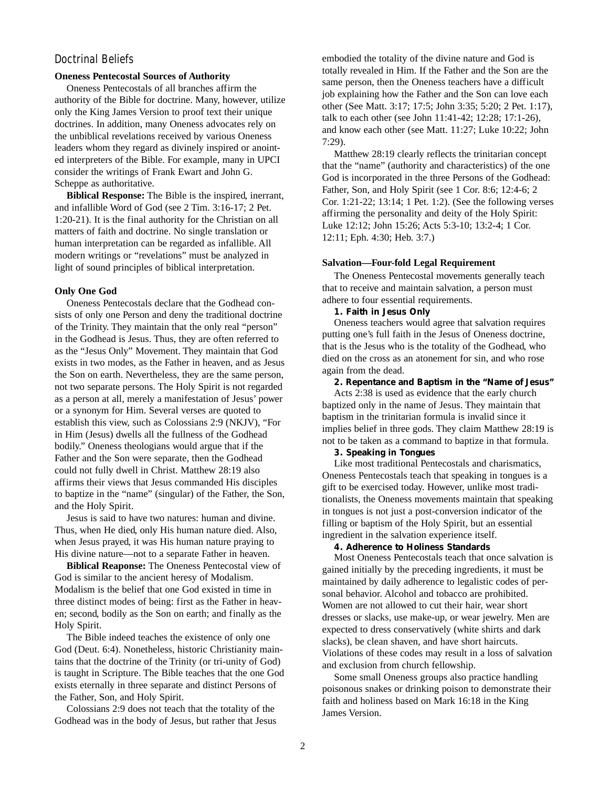# Doctrinal Beliefs

### **Oneness Pentecostal Sources of Authority**

Oneness Pentecostals of all branches affirm the authority of the Bible for doctrine. Many, however, utilize only the King James Version to proof text their unique doctrines. In addition, many Oneness advocates rely on the unbiblical revelations received by various Oneness leaders whom they regard as divinely inspired or anointed interpreters of the Bible. For example, many in UPCI consider the writings of Frank Ewart and John G. Scheppe as authoritative.

**Biblical Response:** The Bible is the inspired, inerrant, and infallible Word of God (see 2 Tim. 3:16-17; 2 Pet. 1:20-21). It is the final authority for the Christian on all matters of faith and doctrine. No single translation or human interpretation can be regarded as infallible. All modern writings or "revelations" must be analyzed in light of sound principles of biblical interpretation.

#### **Only One God**

Oneness Pentecostals declare that the Godhead consists of only one Person and deny the traditional doctrine of the Trinity. They maintain that the only real "person" in the Godhead is Jesus. Thus, they are often referred to as the "Jesus Only" Movement. They maintain that God exists in two modes, as the Father in heaven, and as Jesus the Son on earth. Nevertheless, they are the same person, not two separate persons. The Holy Spirit is not regarded as a person at all, merely a manifestation of Jesus' power or a synonym for Him. Several verses are quoted to establish this view, such as Colossians 2:9 (NKJV), "For in Him (Jesus) dwells all the fullness of the Godhead bodily." Oneness theologians would argue that if the Father and the Son were separate, then the Godhead could not fully dwell in Christ. Matthew 28:19 also affirms their views that Jesus commanded His disciples to baptize in the "name" (singular) of the Father, the Son, and the Holy Spirit.

Jesus is said to have two natures: human and divine. Thus, when He died, only His human nature died. Also, when Jesus prayed, it was His human nature praying to His divine nature—not to a separate Father in heaven.

**Biblical Reaponse:** The Oneness Pentecostal view of God is similar to the ancient heresy of Modalism. Modalism is the belief that one God existed in time in three distinct modes of being: first as the Father in heaven; second, bodily as the Son on earth; and finally as the Holy Spirit.

The Bible indeed teaches the existence of only one God (Deut. 6:4). Nonetheless, historic Christianity maintains that the doctrine of the Trinity (or tri-unity of God) is taught in Scripture. The Bible teaches that the one God exists eternally in three separate and distinct Persons of the Father, Son, and Holy Spirit.

Colossians 2:9 does not teach that the totality of the Godhead was in the body of Jesus, but rather that Jesus

embodied the totality of the divine nature and God is totally revealed in Him. If the Father and the Son are the same person, then the Oneness teachers have a difficult job explaining how the Father and the Son can love each other (See Matt. 3:17; 17:5; John 3:35; 5:20; 2 Pet. 1:17), talk to each other (see John 11:41-42; 12:28; 17:1-26), and know each other (see Matt. 11:27; Luke 10:22; John 7:29).

Matthew 28:19 clearly reflects the trinitarian concept that the "name" (authority and characteristics) of the one God is incorporated in the three Persons of the Godhead: Father, Son, and Holy Spirit (see 1 Cor. 8:6; 12:4-6; 2 Cor. 1:21-22; 13:14; 1 Pet. 1:2). (See the following verses affirming the personality and deity of the Holy Spirit: Luke 12:12; John 15:26; Acts 5:3-10; 13:2-4; 1 Cor. 12:11; Eph. 4:30; Heb. 3:7.)

#### **Salvation—Four-fold Legal Requirement**

The Oneness Pentecostal movements generally teach that to receive and maintain salvation, a person must adhere to four essential requirements.

#### **1. Faith in Jesus Only**

Oneness teachers would agree that salvation requires putting one's full faith in the Jesus of Oneness doctrine, that is the Jesus who is the totality of the Godhead, who died on the cross as an atonement for sin, and who rose again from the dead.

### **2. Repentance and Baptism in the "Name of Jesus"**

Acts 2:38 is used as evidence that the early church baptized only in the name of Jesus. They maintain that baptism in the trinitarian formula is invalid since it implies belief in three gods. They claim Matthew 28:19 is not to be taken as a command to baptize in that formula.

#### **3. Speaking in Tongues**

Like most traditional Pentecostals and charismatics, Oneness Pentecostals teach that speaking in tongues is a gift to be exercised today. However, unlike most traditionalists, the Oneness movements maintain that speaking in tongues is not just a post-conversion indicator of the filling or baptism of the Holy Spirit, but an essential ingredient in the salvation experience itself.

#### **4. Adherence to Holiness Standards**

Most Oneness Pentecostals teach that once salvation is gained initially by the preceding ingredients, it must be maintained by daily adherence to legalistic codes of personal behavior. Alcohol and tobacco are prohibited. Women are not allowed to cut their hair, wear short dresses or slacks, use make-up, or wear jewelry. Men are expected to dress conservatively (white shirts and dark slacks), be clean shaven, and have short haircuts. Violations of these codes may result in a loss of salvation and exclusion from church fellowship.

Some small Oneness groups also practice handling poisonous snakes or drinking poison to demonstrate their faith and holiness based on Mark 16:18 in the King James Version.